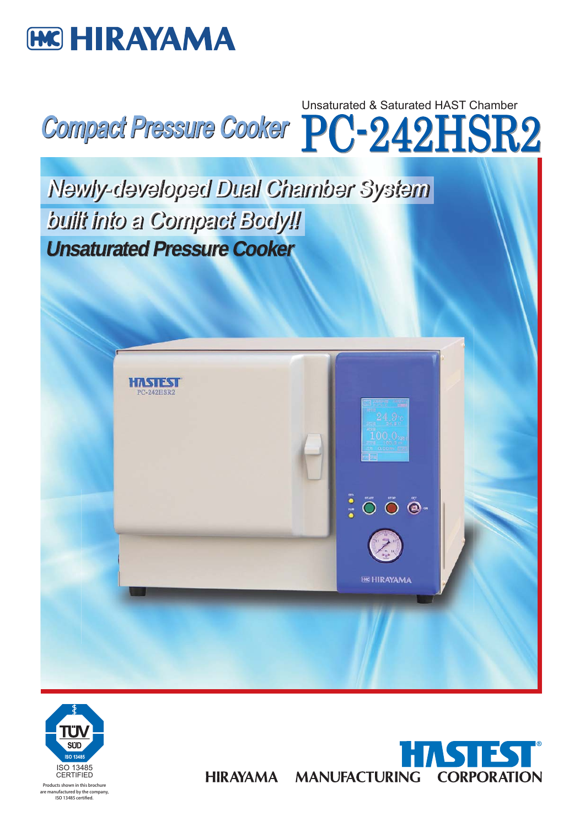







**HIRAYAMA**